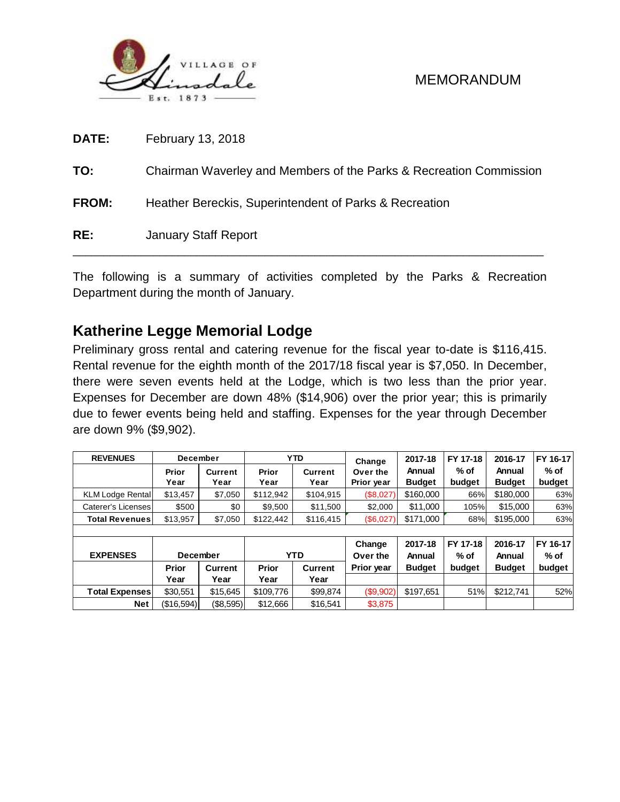

| DATE:        | February 13, 2018                                                  |
|--------------|--------------------------------------------------------------------|
| TO:          | Chairman Waverley and Members of the Parks & Recreation Commission |
| <b>FROM:</b> | Heather Bereckis, Superintendent of Parks & Recreation             |
| RE:          | <b>January Staff Report</b>                                        |

The following is a summary of activities completed by the Parks & Recreation Department during the month of January.

# **Katherine Legge Memorial Lodge**

Preliminary gross rental and catering revenue for the fiscal year to-date is \$116,415. Rental revenue for the eighth month of the 2017/18 fiscal year is \$7,050. In December, there were seven events held at the Lodge, which is two less than the prior year. Expenses for December are down 48% (\$14,906) over the prior year; this is primarily due to fewer events being held and staffing. Expenses for the year through December are down 9% (\$9,902).

| <b>REVENUES</b>         | December        |                | <b>YTD</b> |                                     | Change     | 2017-18       | FY 17-18 | 2016-17       | FY 16-17 |
|-------------------------|-----------------|----------------|------------|-------------------------------------|------------|---------------|----------|---------------|----------|
|                         | Prior           | <b>Current</b> |            | Prior<br><b>Current</b><br>Over the |            | Annual        | $%$ of   | Annual        | % of     |
|                         | Year            | Year           | Year       | Year                                | Prior year | <b>Budget</b> | budget   | <b>Budget</b> | budget   |
| <b>KLM Lodge Rental</b> | \$13.457        | \$7,050        | \$112.942  | \$104,915                           | (\$8,027)  | \$160,000     | 66%      | \$180,000     | 63%      |
| Caterer's Licenses      | \$500           | \$0            | \$9,500    | \$11,500                            | \$2,000    | \$11,000      | 105%     | \$15,000      | 63%      |
| <b>Total Revenues</b>   | \$13,957        | \$7,050        | \$122,442  | \$116,415                           | (\$6,027)  | \$171,000     | 68%      | \$195,000     | 63%      |
|                         |                 |                |            |                                     |            |               |          |               |          |
|                         |                 |                |            |                                     | Change     | 2017-18       | FY 17-18 | 2016-17       | FY 16-17 |
| <b>EXPENSES</b>         | <b>December</b> |                | <b>YTD</b> |                                     | Over the   | Annual        | $%$ of   | Annual        | % of     |
|                         | Prior           | <b>Current</b> | Prior      | <b>Current</b>                      | Prior year | <b>Budget</b> | budget   | <b>Budget</b> | budget   |
|                         | Year            | Year           | Year       | Year                                |            |               |          |               |          |
| <b>Total Expenses</b>   | \$30,551        | \$15,645       | \$109,776  | \$99,874                            | (\$9,902)  | \$197,651     | 51%      | \$212,741     | 52%      |
| <b>Net</b>              | (\$16.594)      | (\$8,595)      | \$12,666   | \$16.541                            | \$3,875    |               |          |               |          |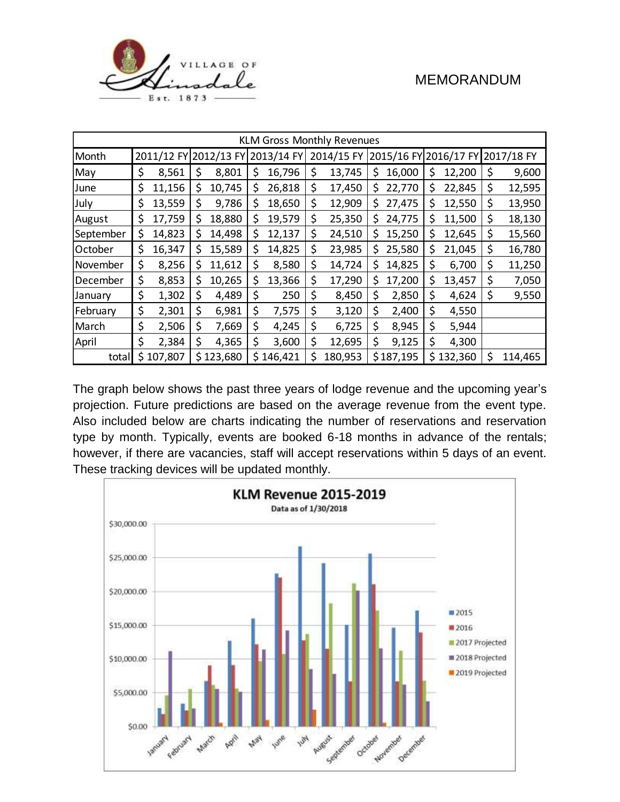

| <b>KLM Gross Monthly Revenues</b> |    |                       |    |           |            |           |            |         |    |           |                                  |           |    |         |
|-----------------------------------|----|-----------------------|----|-----------|------------|-----------|------------|---------|----|-----------|----------------------------------|-----------|----|---------|
| Month                             |    | 2011/12 FY 2012/13 FY |    |           | 2013/14 FY |           | 2014/15 FY |         |    |           | 2015/16 FY 2016/17 FY 2017/18 FY |           |    |         |
| May                               | \$ | 8,561                 | \$ | 8,801     | \$         | 16,796    | \$         | 13,745  | \$ | 16,000    | \$                               | 12,200    | \$ | 9,600   |
| June                              | \$ | 11,156                | \$ | 10,745    | \$         | 26,818    | \$         | 17,450  | S  | 22,770    | \$                               | 22,845    | \$ | 12,595  |
| July                              | \$ | 13,559                | \$ | 9,786     | \$.        | 18,650    | \$         | 12,909  | \$ | 27,475    | \$                               | 12,550    | \$ | 13,950  |
| August                            | \$ | 17,759                | \$ | 18,880    | \$         | 19,579    | \$         | 25,350  | S  | 24,775    | \$                               | 11,500    | \$ | 18,130  |
| September                         | \$ | 14,823                | \$ | 14,498    | \$         | 12,137    | \$         | 24,510  | S  | 15,250    | \$                               | 12,645    | \$ | 15,560  |
| October                           | \$ | 16,347                | \$ | 15,589    | \$         | 14,825    | \$         | 23,985  | \$ | 25,580    | \$                               | 21,045    | \$ | 16,780  |
| November                          | \$ | 8,256                 | \$ | 11,612    | \$         | 8,580     | \$         | 14,724  | Ş  | 14,825    | \$                               | 6,700     | \$ | 11,250  |
| December                          | \$ | 8,853                 | \$ | 10,265    | \$         | 13,366    | \$         | 17,290  | S  | 17,200    | \$                               | 13,457    | \$ | 7,050   |
| January                           | \$ | 1,302                 | \$ | 4,489     | \$         | 250       | \$         | 8,450   | \$ | 2,850     | \$                               | 4,624     | \$ | 9,550   |
| February                          | \$ | 2,301                 | \$ | 6,981     | \$         | 7,575     | \$         | 3,120   | \$ | 2,400     | \$                               | 4,550     |    |         |
| March                             | \$ | 2,506                 | \$ | 7,669     | \$         | 4,245     | \$         | 6,725   | \$ | 8,945     | \$                               | 5,944     |    |         |
| April                             | \$ | 2,384                 | \$ | 4,365     | \$         | 3,600     | \$         | 12,695  | \$ | 9,125     | \$                               | 4,300     |    |         |
| total                             |    | \$107,807             |    | \$123,680 |            | \$146,421 | \$         | 180,953 |    | \$187,195 |                                  | \$132,360 | \$ | 114,465 |

The graph below shows the past three years of lodge revenue and the upcoming year's projection. Future predictions are based on the average revenue from the event type. Also included below are charts indicating the number of reservations and reservation type by month. Typically, events are booked 6-18 months in advance of the rentals; however, if there are vacancies, staff will accept reservations within 5 days of an event. These tracking devices will be updated monthly.

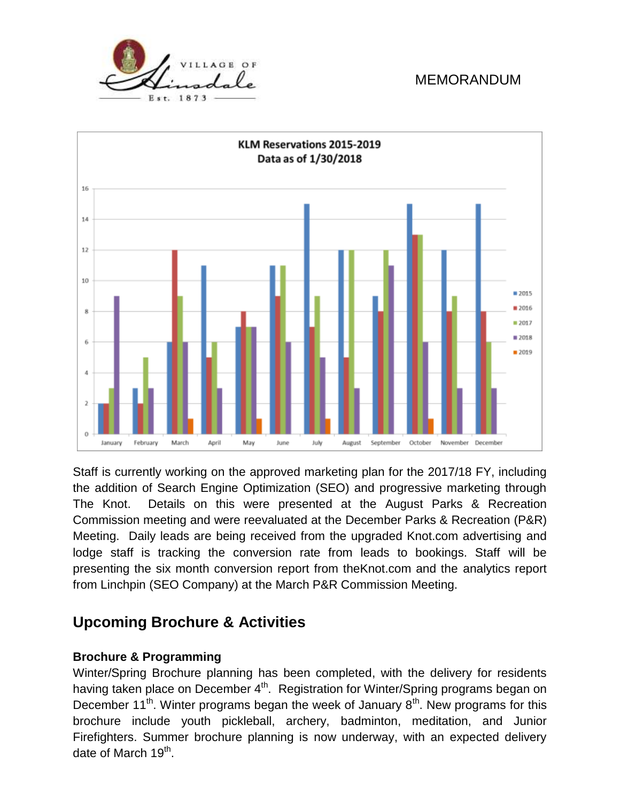![](_page_2_Figure_2.jpeg)

Staff is currently working on the approved marketing plan for the 2017/18 FY, including the addition of Search Engine Optimization (SEO) and progressive marketing through The Knot. Details on this were presented at the August Parks & Recreation Commission meeting and were reevaluated at the December Parks & Recreation (P&R) Meeting. Daily leads are being received from the upgraded Knot.com advertising and lodge staff is tracking the conversion rate from leads to bookings. Staff will be presenting the six month conversion report from theKnot.com and the analytics report from Linchpin (SEO Company) at the March P&R Commission Meeting.

# **Upcoming Brochure & Activities**

## **Brochure & Programming**

Winter/Spring Brochure planning has been completed, with the delivery for residents having taken place on December  $4^{\text{th}}$ . Registration for Winter/Spring programs began on December 11<sup>th</sup>. Winter programs began the week of January  $8<sup>th</sup>$ . New programs for this brochure include youth pickleball, archery, badminton, meditation, and Junior Firefighters. Summer brochure planning is now underway, with an expected delivery date of March 19<sup>th</sup>.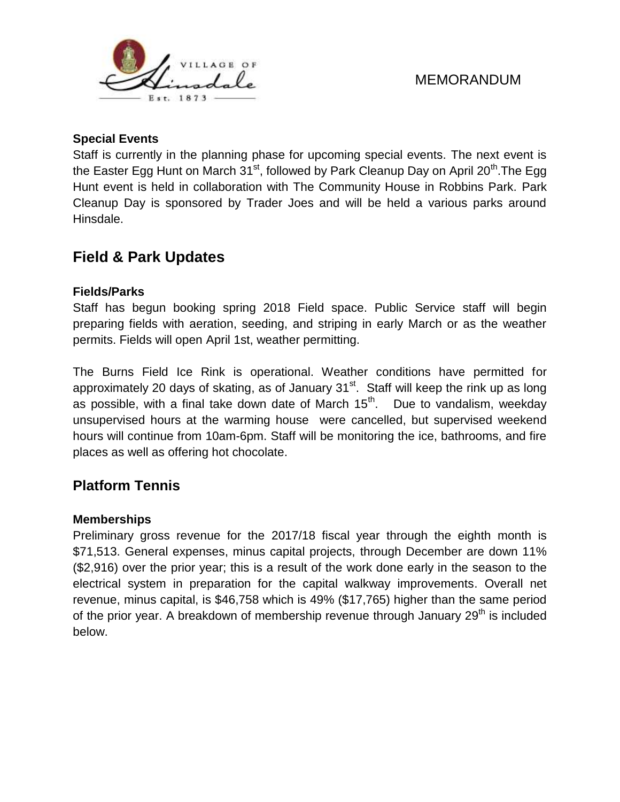![](_page_3_Picture_0.jpeg)

#### **Special Events**

Staff is currently in the planning phase for upcoming special events. The next event is the Easter Egg Hunt on March  $31<sup>st</sup>$ , followed by Park Cleanup Day on April 20<sup>th</sup>. The Egg Hunt event is held in collaboration with The Community House in Robbins Park. Park Cleanup Day is sponsored by Trader Joes and will be held a various parks around Hinsdale.

# **Field & Park Updates**

### **Fields/Parks**

Staff has begun booking spring 2018 Field space. Public Service staff will begin preparing fields with aeration, seeding, and striping in early March or as the weather permits. Fields will open April 1st, weather permitting.

The Burns Field Ice Rink is operational. Weather conditions have permitted for approximately 20 days of skating, as of January 31<sup>st</sup>. Staff will keep the rink up as long as possible, with a final take down date of March  $15<sup>th</sup>$ . Due to vandalism, weekday unsupervised hours at the warming house were cancelled, but supervised weekend hours will continue from 10am-6pm. Staff will be monitoring the ice, bathrooms, and fire places as well as offering hot chocolate.

# **Platform Tennis**

#### **Memberships**

Preliminary gross revenue for the 2017/18 fiscal year through the eighth month is \$71,513. General expenses, minus capital projects, through December are down 11% (\$2,916) over the prior year; this is a result of the work done early in the season to the electrical system in preparation for the capital walkway improvements. Overall net revenue, minus capital, is \$46,758 which is 49% (\$17,765) higher than the same period of the prior year. A breakdown of membership revenue through January 29<sup>th</sup> is included below.